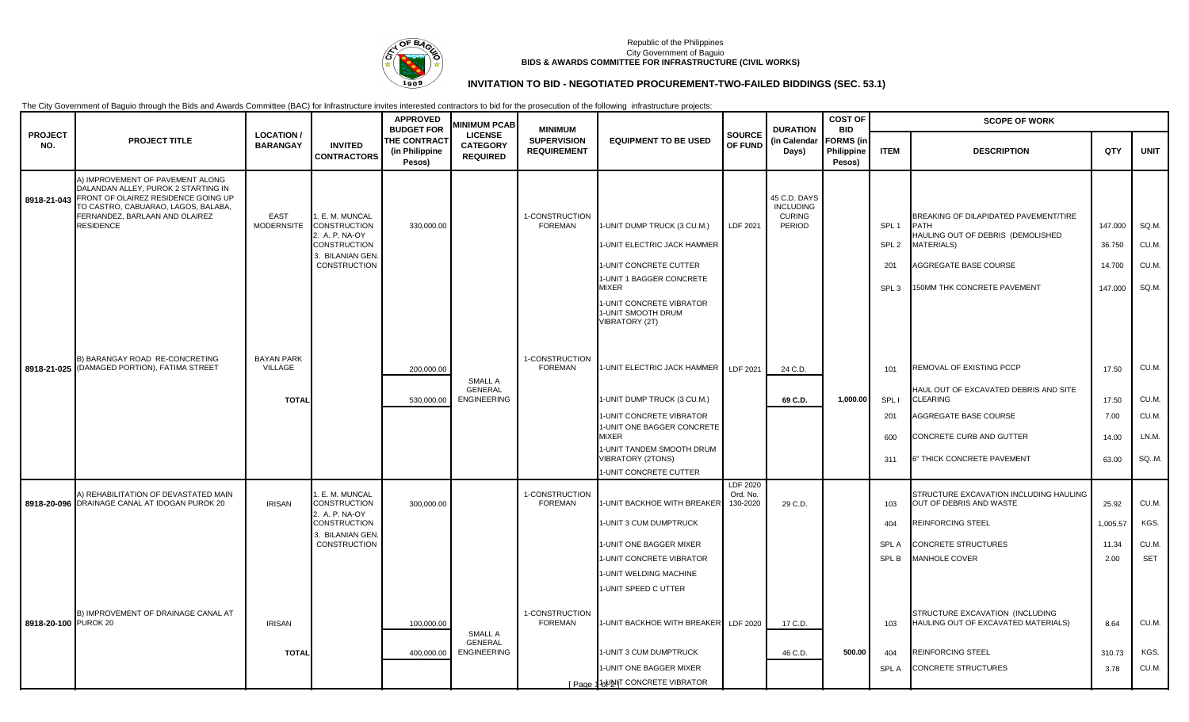

### Republic of the Philippines City Government of Baguio **BIDS & AWARDS COMMITTEE FOR INFRASTRUCTURE (CIVIL WORKS)**

# **INVITATION TO BID - NEGOTIATED PROCUREMENT-TWO-FAILED BIDDINGS (SEC. 53.1)**

The City Government of Baguio through the Bids and Awards Committee (BAC) for Infrastructure invites interested contractors to bid for the prosecution of the following infrastructure projects:

|                       | <b>PROJECT TITLE</b>                                                                                                                                                                                        | <b>LOCATION/</b><br><b>BARANGAY</b>          | <b>INVITED</b><br><b>CONTRACTORS</b>                                                                              | <b>APPROVED</b><br><b>BUDGET FOR</b><br>THE CONTRACT<br>(in Philippine<br>Pesos) | <b>AINIMUM PCAB</b><br><b>LICENSE</b><br><b>CATEGORY</b><br><b>REQUIRED</b> | <b>MINIMUM</b><br><b>SUPERVISION</b><br><b>REQUIREMENT</b> | <b>EQUIPMENT TO BE USED</b>                                                                                                                                                                                             | <b>SOURCE</b><br>OF FUND         | <b>DURATION</b><br>(in Calendar<br>Days)                    | <b>COST OF</b>                                         |                                                                 | <b>SCOPE OF WORK</b>                                                                                                                                                    |                                          |                                           |
|-----------------------|-------------------------------------------------------------------------------------------------------------------------------------------------------------------------------------------------------------|----------------------------------------------|-------------------------------------------------------------------------------------------------------------------|----------------------------------------------------------------------------------|-----------------------------------------------------------------------------|------------------------------------------------------------|-------------------------------------------------------------------------------------------------------------------------------------------------------------------------------------------------------------------------|----------------------------------|-------------------------------------------------------------|--------------------------------------------------------|-----------------------------------------------------------------|-------------------------------------------------------------------------------------------------------------------------------------------------------------------------|------------------------------------------|-------------------------------------------|
| <b>PROJECT</b><br>NO. |                                                                                                                                                                                                             |                                              |                                                                                                                   |                                                                                  |                                                                             |                                                            |                                                                                                                                                                                                                         |                                  |                                                             | <b>BID</b><br><b>FORMS (in</b><br>Philippine<br>Pesos) | <b>ITEM</b>                                                     | <b>DESCRIPTION</b>                                                                                                                                                      | QTY                                      | <b>UNIT</b>                               |
| 8918-21-043           | A) IMPROVEMENT OF PAVEMENT ALONG<br>DALANDAN ALLEY, PUROK 2 STARTING IN<br>FRONT OF OLAIREZ RESIDENCE GOING UP<br>TO CASTRO, CABUARAO, LAGOS, BALABA,<br>FERNANDEZ, BARLAAN AND OLAIREZ<br><b>RESIDENCE</b> | <b>EAST</b><br><b>MODERNSITE</b>             | . E. M. MUNCAL<br><b>CONSTRUCTION</b><br>2. A. P. NA-OY<br><b>CONSTRUCTION</b><br>3. BILANIAN GEN<br>CONSTRUCTION | 330,000.00                                                                       |                                                                             | 1-CONSTRUCTION<br><b>FOREMAN</b>                           | 1-UNIT DUMP TRUCK (3 CU.M.)<br>I-UNIT ELECTRIC JACK HAMMER<br>-UNIT CONCRETE CUTTER<br>I-UNIT 1 BAGGER CONCRETE<br><b>MIXER</b><br>I-UNIT CONCRETE VIBRATOR<br>1-UNIT SMOOTH DRUM<br>VIBRATORY (2T)                     | LDF 2021                         | 45 C.D. DAYS<br><b>INCLUDING</b><br><b>CURING</b><br>PERIOD |                                                        | SPL <sub>1</sub><br>SPL <sub>2</sub><br>201<br>SPL <sub>3</sub> | BREAKING OF DILAPIDATED PAVEMENT/TIRE<br><b>PATH</b><br>HAULING OUT OF DEBRIS (DEMOLISHED<br><b>MATERIALS)</b><br>AGGREGATE BASE COURSE<br>150MM THK CONCRETE PAVEMENT  | 147.000<br>36.750<br>14.700<br>147.000   | SQ.M.<br>CU.M.<br>CU.M.<br>SQ.M.          |
|                       | B) BARANGAY ROAD RE-CONCRETING<br>8918-21-025 (DAMAGED PORTION), FATIMA STREET                                                                                                                              | <b>BAYAN PARK</b><br>VILLAGE<br><b>TOTAL</b> |                                                                                                                   | 200,000.00<br>530,000.00                                                         | <b>SMALL A</b><br><b>GENERAL</b><br><b>ENGINEERING</b>                      | 1-CONSTRUCTION<br><b>FOREMAN</b>                           | 1-UNIT ELECTRIC JACK HAMMER<br>I-UNIT DUMP TRUCK (3 CU.M.)<br>I-UNIT CONCRETE VIBRATOR<br>I-UNIT ONE BAGGER CONCRETE<br><b>MIXER</b><br>1-UNIT TANDEM SMOOTH DRUM<br><b>/IBRATORY (2TONS)</b><br>I-UNIT CONCRETE CUTTER | LDF 2021                         | 24 C.D.<br>69 C.D.                                          | 1,000.00                                               | 101<br>SPL I<br>$20^{\circ}$<br>600<br>311                      | REMOVAL OF EXISTING PCCP<br>HAUL OUT OF EXCAVATED DEBRIS AND SITE<br><b>CLEARING</b><br>AGGREGATE BASE COURSE<br>CONCRETE CURB AND GUTTER<br>6" THICK CONCRETE PAVEMENT | 17.50<br>17.50<br>7.00<br>14.00<br>63.00 | CU.M.<br>CU.M.<br>CU.M.<br>LN.M.<br>SQ.M. |
|                       | A) REHABILITATION OF DEVASTATED MAIN<br>8918-20-096 DRAINAGE CANAL AT IDOGAN PUROK 20                                                                                                                       | <b>IRISAN</b>                                | . E. M. MUNCAL<br><b>CONSTRUCTION</b><br>2. A. P. NA-OY<br>CONSTRUCTION<br>3. BILANIAN GEN.<br>CONSTRUCTION       | 300,000.00                                                                       |                                                                             | 1-CONSTRUCTION<br><b>FOREMAN</b>                           | 1-UNIT BACKHOE WITH BREAKER<br>-UNIT 3 CUM DUMPTRUCK<br>-UNIT ONE BAGGER MIXER<br>-UNIT CONCRETE VIBRATOR<br>I-UNIT WELDING MACHINE<br>1-UNIT SPEED C UTTER                                                             | LDF 2020<br>Ord. No.<br>130-2020 | 29 C.D.                                                     |                                                        | 103<br>404<br><b>SPLA</b><br>SPL B                              | STRUCTURE EXCAVATION INCLUDING HAULING<br>OUT OF DEBRIS AND WASTE<br>REINFORCING STEEL<br><b>CONCRETE STRUCTURES</b><br>MANHOLE COVER                                   | 25.92<br>1,005.57<br>11.34<br>2.00       | CU.M.<br>KGS.<br>CU.M.<br><b>SET</b>      |
| 8918-20-100 PUROK 20  | B) IMPROVEMENT OF DRAINAGE CANAL AT                                                                                                                                                                         | <b>IRISAN</b><br><b>TOTAL</b>                |                                                                                                                   | 100,000.00<br>400,000.00                                                         | SMALL A<br><b>GENERAL</b><br><b>ENGINEERING</b>                             | 1-CONSTRUCTION<br><b>FOREMAN</b>                           | -UNIT BACKHOE WITH BREAKER<br>-UNIT 3 CUM DUMPTRUCK<br>1-UNIT ONE BAGGER MIXER<br>[ Page 16 VAIT CONCRETE VIBRATOR                                                                                                      | LDF 2020                         | 17 C.D.<br>46 C.D.                                          | 500.00                                                 | 103<br>404<br><b>SPLA</b>                                       | STRUCTURE EXCAVATION (INCLUDING<br>HAULING OUT OF EXCAVATED MATERIALS)<br><b>REINFORCING STEEL</b><br><b>CONCRETE STRUCTURES</b>                                        | 8.64<br>310.73<br>3.78                   | CU.M.<br>KGS.<br>CU.M.                    |